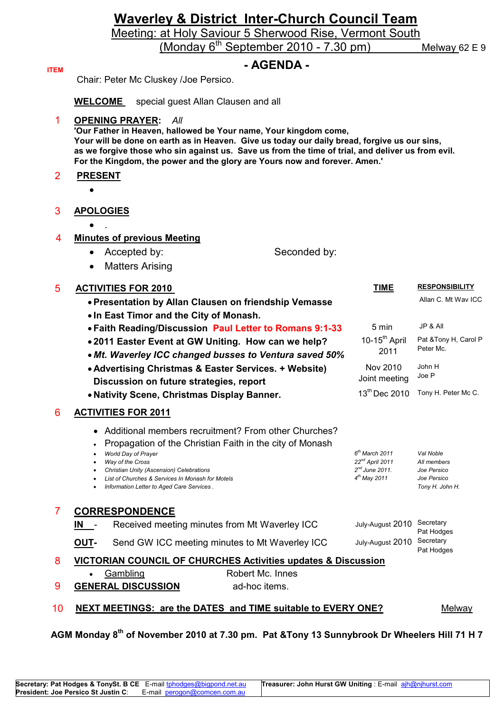# **Waverley & District Inter-Church Council Team**

Meeting: at Holy Saviour 5 Sherwood Rise, Vermont South

(Monday 6<sup>th</sup> September 2010 - 7.30 pm) Melway 62 E 9

**ITEM** 

# **ITEM - AGENDA -**

Chair: Peter Mc Cluskey /Joe Persico.

**WELCOME** special guest Allan Clausen and all

1 **OPENING PRAYER:** *All* 

**'Our Father in Heaven, hallowed be Your name, Your kingdom come, Your will be done on earth as in Heaven. Give us today our daily bread, forgive us our sins, as we forgive those who sin against us. Save us from the time of trial, and deliver us from evil. For the Kingdom, the power and the glory are Yours now and forever. Amen.'** 

# 2 **PRESENT**

•

### 3 **APOLOGIES**

• .

### 4 **Minutes of previous Meeting**

- Accepted by: Seconded by:
- Matters Arising

### 5 **ACTIVITIES FOR 2010 TIME RESPONSIBILITY**

|                | • Presentation by Allan Clausen on friendship Vemasse<br>. In East Timor and the City of Monash.                                                                                                                                                                                                                                                             |                                                                                      | Allan C. Mt Way ICC                                                       |
|----------------|--------------------------------------------------------------------------------------------------------------------------------------------------------------------------------------------------------------------------------------------------------------------------------------------------------------------------------------------------------------|--------------------------------------------------------------------------------------|---------------------------------------------------------------------------|
|                | . Faith Reading/Discussion Paul Letter to Romans 9:1-33                                                                                                                                                                                                                                                                                                      | 5 min                                                                                | JP & All                                                                  |
|                | •2011 Easter Event at GW Uniting. How can we help?<br>• Mt. Waverley ICC changed busses to Ventura saved 50%                                                                                                                                                                                                                                                 | $10-15^{th}$ April<br>2011                                                           | Pat & Tony H, Carol P<br>Peter Mc.                                        |
|                | • Advertising Christmas & Easter Services. + Website)<br>Discussion on future strategies, report                                                                                                                                                                                                                                                             | Nov 2010<br>Joint meeting                                                            | John H<br>Joe P                                                           |
|                | • Nativity Scene, Christmas Display Banner.                                                                                                                                                                                                                                                                                                                  | $13^{th}$ Dec 2010                                                                   | Tony H. Peter Mc C.                                                       |
| 6              | <b>ACTIVITIES FOR 2011</b>                                                                                                                                                                                                                                                                                                                                   |                                                                                      |                                                                           |
|                | Additional members recruitment? From other Churches?<br>$\bullet$<br>Propagation of the Christian Faith in the city of Monash<br>$\bullet$<br>World Day of Prayer<br>$\bullet$<br>Way of the Cross<br>$\bullet$<br>Christian Unity (Ascension) Celebrations<br>List of Churches & Services In Monash for Motels<br>Information Letter to Aged Care Services. | $6th$ March 2011<br>$22^{nd}$ April 2011<br>$2^{nd}$ June 2011.<br>$4^{th}$ May 2011 | Val Noble<br>All members<br>Joe Persico<br>Joe Persico<br>Tony H. John H. |
| $\overline{7}$ | <b>CORRESPONDENCE</b>                                                                                                                                                                                                                                                                                                                                        |                                                                                      |                                                                           |
|                | Received meeting minutes from Mt Waverley ICC<br>IN I                                                                                                                                                                                                                                                                                                        | July-August 2010                                                                     | Secretary<br>Pat Hodges                                                   |
|                | Send GW ICC meeting minutes to Mt Waverley ICC<br>OUT-                                                                                                                                                                                                                                                                                                       | July-August 2010                                                                     | Secretary<br>Pat Hodges                                                   |
| 8              | <b>VICTORIAN COUNCIL OF CHURCHES Activities updates &amp; Discussion</b>                                                                                                                                                                                                                                                                                     |                                                                                      |                                                                           |
| 9              | Robert Mc. Innes<br>Gambling<br><b>GENERAL DISCUSSION</b><br>ad-hoc items.                                                                                                                                                                                                                                                                                   |                                                                                      |                                                                           |
| 10             | NEXT MEETINGS: are the DATES and TIME suitable to EVERY ONE?                                                                                                                                                                                                                                                                                                 |                                                                                      | Melway                                                                    |

# **AGM Monday 8th of November 2010 at 7.30 pm. Pat &Tony 13 Sunnybrook Dr Wheelers Hill 71 H 7**